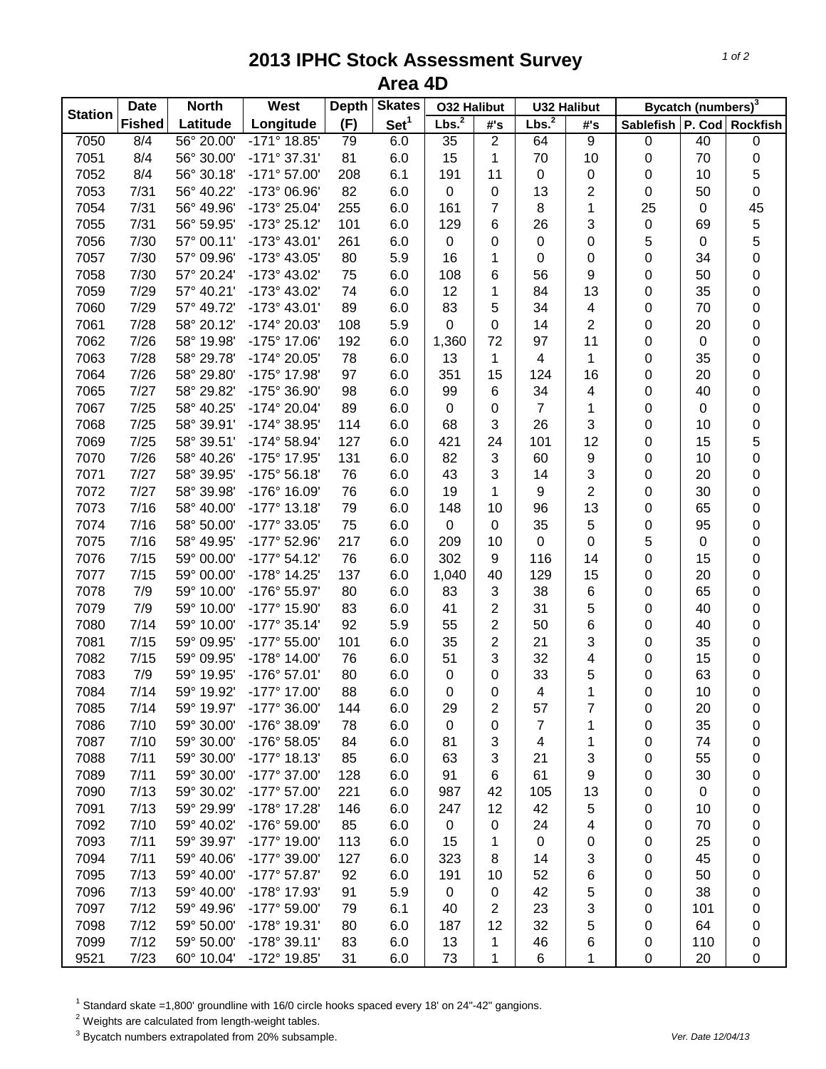## **2013 IPHC Stock Assessment Survey Area 4D**

| (F)<br>Set <sup>1</sup><br><b>Fished</b><br>Longitude<br>Latitude<br>#'s<br>Sablefish   P. Cod   Rockfish<br>#'s<br>56° 20.00'<br>$-171^{\circ}$ 18.85'<br>$\overline{2}$<br>$\overline{9}$<br>40<br>7050<br>8/4<br>79<br>6.0<br>35<br>64<br>0<br>0<br>7051<br>56° 30.00'<br>8/4<br>$-171°37.31'$<br>81<br>15<br>70<br>10<br>0<br>70<br>0<br>6.0<br>1<br>5<br>7052<br>8/4<br>56° 30.18'<br>$-171°57.00'$<br>208<br>6.1<br>191<br>11<br>0<br>0<br>10<br>0<br>82<br>0<br>7053<br>7/31<br>56° 40.22'<br>-173° 06.96'<br>6.0<br>$\pmb{0}$<br>0<br>13<br>2<br>0<br>50<br>$\overline{7}$<br>8<br>25<br>45<br>7054<br>7/31<br>56° 49.96'<br>-173° 25.04'<br>255<br>6.0<br>161<br>1<br>0<br>5<br>7/31<br>6<br>3<br>$\pmb{0}$<br>7055<br>56° 59.95'<br>-173° 25.12'<br>101<br>6.0<br>129<br>26<br>69<br>5<br>0<br>5<br>7056<br>7/30<br>57° 00.11'<br>-173° 43.01'<br>261<br>6.0<br>0<br>$\boldsymbol{0}$<br>$\pmb{0}$<br>$\pmb{0}$<br>0<br>16<br>$\pmb{0}$<br>34<br>7057<br>7/30<br>57° 09.96'<br>-173° 43.05'<br>80<br>5.9<br>1<br>0<br>$\boldsymbol{0}$<br>6<br>9<br>50<br>0<br>7058<br>7/30<br>57° 20.24'<br>-173° 43.02'<br>75<br>6.0<br>108<br>56<br>$\pmb{0}$<br>7/29<br>13<br>35<br>0<br>7059<br>57° 40.21'<br>-173° 43.02'<br>74<br>12<br>1<br>84<br>0<br>6.0<br>5<br>7/29<br>83<br>70<br>0<br>7060<br>57° 49.72'<br>-173° 43.01'<br>89<br>6.0<br>34<br>4<br>0<br>7/28<br>0<br>2<br>0<br>7061<br>58° 20.12'<br>-174° 20.03'<br>108<br>5.9<br>14<br>0<br>20<br>0<br>7/26<br>72<br>11<br>0<br>7062<br>58° 19.98'<br>-175° 17.06'<br>192<br>1,360<br>97<br>0<br>6.0<br>0<br>0<br>7063<br>7/28<br>78<br>13<br>1<br>0<br>35<br>58° 29.78'<br>-174° 20.05'<br>6.0<br>1<br>4<br>7/26<br>0<br>7064<br>58° 29.80'<br>-175° 17.98'<br>97<br>6.0<br>351<br>15<br>124<br>16<br>0<br>20<br>7/27<br>0<br>7065<br>58° 29.82'<br>-175° 36.90'<br>98<br>6.0<br>99<br>6<br>34<br>0<br>40<br>4<br>7/25<br>$\overline{7}$<br>0<br>7067<br>58° 40.25'<br>-174° 20.04'<br>89<br>6.0<br>0<br>0<br>$\pmb{0}$<br>0<br>1<br>7/25<br>3<br>3<br>0<br>7068<br>58° 39.91'<br>-174° 38.95'<br>114<br>68<br>26<br>0<br>10<br>6.0<br>5<br>7/25<br>7069<br>58° 39.51'<br>-174° 58.94'<br>127<br>6.0<br>421<br>24<br>101<br>12<br>0<br>15<br>7/26<br>82<br>3<br>9<br>0<br>7070<br>58° 40.26'<br>-175° 17.95'<br>131<br>6.0<br>60<br>0<br>10<br>7071<br>7/27<br>58° 39.95'<br>$-175°56.18'$<br>3<br>3<br>20<br>0<br>76<br>6.0<br>43<br>14<br>0<br>7/27<br>$-176°$ 16.09'<br>2<br>30<br>0<br>7072<br>58° 39.98'<br>76<br>6.0<br>19<br>1<br>9<br>0<br>7/16<br>13<br>65<br>0<br>7073<br>58° 40.00'<br>$-177°$ 13.18<br>79<br>6.0<br>10<br>96<br>0<br>148<br>0<br>5<br>95<br>7074<br>7/16<br>58° 50.00'<br>-177° 33.05'<br>75<br>6.0<br>$\mathbf 0$<br>0<br>35<br>$\pmb{0}$<br>5<br>7/16<br>$\mathbf 0$<br>$\boldsymbol{0}$<br>0<br>7075<br>58° 49.95'<br>-177° 52.96'<br>217<br>6.0<br>209<br>10<br>$\pmb{0}$<br>7/15<br>302<br>9<br>$\pmb{0}$<br>0<br>7076<br>59° 00.00'<br>$-177°54.12'$<br>76<br>6.0<br>116<br>15<br>14<br>129<br>15<br>20<br>0<br>7077<br>7/15<br>59° 00.00'<br>-178° 14.25'<br>137<br>6.0<br>1,040<br>40<br>0<br>38<br>65<br>0<br>7078<br>7/9<br>59° 10.00'<br>-176° 55.97'<br>80<br>6.0<br>83<br>3<br>6<br>0<br>7/9<br>$\overline{c}$<br>5<br>0<br>7079<br>59° 10.00'<br>-177° 15.90'<br>83<br>41<br>31<br>0<br>40<br>6.0<br>$\overline{c}$<br>7/14<br>55<br>6<br>0<br>7080<br>59° 10.00'<br>$-177°35.14'$<br>92<br>5.9<br>50<br>0<br>40<br>2<br>3<br>0<br>7081<br>7/15<br>-177° 55.00'<br>35<br>21<br>0<br>35<br>59° 09.95'<br>101<br>6.0<br>0<br>7082<br>7/15<br>59° 09.95'<br>$-178°$ 14.00<br>76<br>51<br>3<br>32<br>6.0<br>4<br>0<br>15<br>7083<br>7/9<br>59° 19.95'<br>-176° 57.01'<br>80<br>0<br>33<br>5<br>63<br>0<br>6.0<br>0<br>0<br>7084<br>0<br>0<br>7/14<br>59° 19.92'<br>-177° 17.00'<br>88<br>4<br>1<br>$\pmb{0}$<br>10<br>6.0<br>0<br>-177° 36.00'<br>7085<br>7/14<br>59° 19.97'<br>144<br>6.0<br>29<br>2<br>57<br>7<br>0<br>20<br>0<br>7086<br>7/10<br>-176° 38.09'<br>35<br>59° 30.00'<br>78<br>6.0<br>0<br>0<br>7<br>1<br>0<br>0<br>7087<br>7/10<br>59° 30.00'<br>-176° 58.05'<br>3<br>84<br>6.0<br>81<br>4<br>1<br>0<br>74<br>0<br>3<br>7088<br>7/11<br>59° 30.00'<br>$-177°$ 18.13'<br>63<br>3<br>55<br>85<br>6.0<br>21<br>0<br>0<br>7/11<br>7089<br>59° 30.00'<br>-177° 37.00'<br>91<br>6<br>61<br>9<br>30<br>128<br>6.0<br>0<br>0<br>7090<br>7/13<br>59° 30.02'<br>-177° 57.00'<br>221<br>6.0<br>987<br>42<br>13<br>$\pmb{0}$<br>105<br>0<br>0<br>7091<br>7/13<br>59° 29.99'<br>-178° 17.28'<br>6.0<br>12<br>42<br>5<br>146<br>247<br>10<br>0<br>0<br>7092<br>7/10<br>59° 40.02'<br>-176° 59.00'<br>6.0<br>0<br>4<br>70<br>85<br>$\mathbf 0$<br>24<br>0<br>0<br>7/11<br>7093<br>59° 39.97'<br>-177° 19.00'<br>113<br>25<br>6.0<br>15<br>1<br>0<br>0<br>0<br>0<br>7094<br>7/11<br>59° 40.06'<br>-177° 39.00'<br>323<br>8<br>3<br>45<br>127<br>6.0<br>14<br>0<br>0<br>7095<br>7/13<br>59° 40.00'<br>$-177°57.87'$<br>92<br>6.0<br>191<br>10<br>52<br>6<br>0<br>50<br>0<br>7096<br>7/13<br>5.9<br>38<br>59° 40.00'<br>-178° 17.93'<br>91<br>0<br>42<br>5<br>0<br>0<br>0<br>3<br>7097<br>7/12<br>2<br>59° 49.96'<br>-177° 59.00'<br>6.1<br>40<br>23<br>0<br>101<br>79<br>0<br>7/12<br>5<br>7098<br>59° 50.00'<br>-178° 19.31'<br>6.0<br>187<br>12<br>32<br>64<br>80<br>0<br>0<br>7099<br>7/12<br>59° 50.00'<br>$-178°39.11'$<br>83<br>6.0<br>13<br>46<br>6<br>110<br>1<br>0<br>0 | <b>Station</b> | <b>Date</b> | <b>North</b><br>West |              | <b>Depth</b> | <b>Skates</b> | <b>032 Halibut</b> |   | <b>U32 Halibut</b> |   | Bycatch (numbers) <sup>3</sup> |    |   |
|-----------------------------------------------------------------------------------------------------------------------------------------------------------------------------------------------------------------------------------------------------------------------------------------------------------------------------------------------------------------------------------------------------------------------------------------------------------------------------------------------------------------------------------------------------------------------------------------------------------------------------------------------------------------------------------------------------------------------------------------------------------------------------------------------------------------------------------------------------------------------------------------------------------------------------------------------------------------------------------------------------------------------------------------------------------------------------------------------------------------------------------------------------------------------------------------------------------------------------------------------------------------------------------------------------------------------------------------------------------------------------------------------------------------------------------------------------------------------------------------------------------------------------------------------------------------------------------------------------------------------------------------------------------------------------------------------------------------------------------------------------------------------------------------------------------------------------------------------------------------------------------------------------------------------------------------------------------------------------------------------------------------------------------------------------------------------------------------------------------------------------------------------------------------------------------------------------------------------------------------------------------------------------------------------------------------------------------------------------------------------------------------------------------------------------------------------------------------------------------------------------------------------------------------------------------------------------------------------------------------------------------------------------------------------------------------------------------------------------------------------------------------------------------------------------------------------------------------------------------------------------------------------------------------------------------------------------------------------------------------------------------------------------------------------------------------------------------------------------------------------------------------------------------------------------------------------------------------------------------------------------------------------------------------------------------------------------------------------------------------------------------------------------------------------------------------------------------------------------------------------------------------------------------------------------------------------------------------------------------------------------------------------------------------------------------------------------------------------------------------------------------------------------------------------------------------------------------------------------------------------------------------------------------------------------------------------------------------------------------------------------------------------------------------------------------------------------------------------------------------------------------------------------------------------------------------------------------------------------------------------------------------------------------------------------------------------------------------------------------------------------------------------------------------------------------------------------------------------------------------------------------------------------------------------------------------------------------------------------------------------------------------------------------------------------------------------------------------------------------------------------------------------------------------------------------------------------------------------------------------------------------------------------------------------------------------------------------------------------------------------------------------------------------------------------------------------------------------------------------------------------------------------------------------------------------------------------------------------------------------------------------------------------------------------------------------------------------------------------------------------------------|----------------|-------------|----------------------|--------------|--------------|---------------|--------------------|---|--------------------|---|--------------------------------|----|---|
|                                                                                                                                                                                                                                                                                                                                                                                                                                                                                                                                                                                                                                                                                                                                                                                                                                                                                                                                                                                                                                                                                                                                                                                                                                                                                                                                                                                                                                                                                                                                                                                                                                                                                                                                                                                                                                                                                                                                                                                                                                                                                                                                                                                                                                                                                                                                                                                                                                                                                                                                                                                                                                                                                                                                                                                                                                                                                                                                                                                                                                                                                                                                                                                                                                                                                                                                                                                                                                                                                                                                                                                                                                                                                                                                                                                                                                                                                                                                                                                                                                                                                                                                                                                                                                                                                                                                                                                                                                                                                                                                                                                                                                                                                                                                                                                                                                                                                                                                                                                                                                                                                                                                                                                                                                                                                                                                                                                   |                |             |                      |              |              |               | Lbs. <sup>2</sup>  |   | Lbs. <sup>2</sup>  |   |                                |    |   |
|                                                                                                                                                                                                                                                                                                                                                                                                                                                                                                                                                                                                                                                                                                                                                                                                                                                                                                                                                                                                                                                                                                                                                                                                                                                                                                                                                                                                                                                                                                                                                                                                                                                                                                                                                                                                                                                                                                                                                                                                                                                                                                                                                                                                                                                                                                                                                                                                                                                                                                                                                                                                                                                                                                                                                                                                                                                                                                                                                                                                                                                                                                                                                                                                                                                                                                                                                                                                                                                                                                                                                                                                                                                                                                                                                                                                                                                                                                                                                                                                                                                                                                                                                                                                                                                                                                                                                                                                                                                                                                                                                                                                                                                                                                                                                                                                                                                                                                                                                                                                                                                                                                                                                                                                                                                                                                                                                                                   |                |             |                      |              |              |               |                    |   |                    |   |                                |    |   |
|                                                                                                                                                                                                                                                                                                                                                                                                                                                                                                                                                                                                                                                                                                                                                                                                                                                                                                                                                                                                                                                                                                                                                                                                                                                                                                                                                                                                                                                                                                                                                                                                                                                                                                                                                                                                                                                                                                                                                                                                                                                                                                                                                                                                                                                                                                                                                                                                                                                                                                                                                                                                                                                                                                                                                                                                                                                                                                                                                                                                                                                                                                                                                                                                                                                                                                                                                                                                                                                                                                                                                                                                                                                                                                                                                                                                                                                                                                                                                                                                                                                                                                                                                                                                                                                                                                                                                                                                                                                                                                                                                                                                                                                                                                                                                                                                                                                                                                                                                                                                                                                                                                                                                                                                                                                                                                                                                                                   |                |             |                      |              |              |               |                    |   |                    |   |                                |    |   |
|                                                                                                                                                                                                                                                                                                                                                                                                                                                                                                                                                                                                                                                                                                                                                                                                                                                                                                                                                                                                                                                                                                                                                                                                                                                                                                                                                                                                                                                                                                                                                                                                                                                                                                                                                                                                                                                                                                                                                                                                                                                                                                                                                                                                                                                                                                                                                                                                                                                                                                                                                                                                                                                                                                                                                                                                                                                                                                                                                                                                                                                                                                                                                                                                                                                                                                                                                                                                                                                                                                                                                                                                                                                                                                                                                                                                                                                                                                                                                                                                                                                                                                                                                                                                                                                                                                                                                                                                                                                                                                                                                                                                                                                                                                                                                                                                                                                                                                                                                                                                                                                                                                                                                                                                                                                                                                                                                                                   |                |             |                      |              |              |               |                    |   |                    |   |                                |    |   |
|                                                                                                                                                                                                                                                                                                                                                                                                                                                                                                                                                                                                                                                                                                                                                                                                                                                                                                                                                                                                                                                                                                                                                                                                                                                                                                                                                                                                                                                                                                                                                                                                                                                                                                                                                                                                                                                                                                                                                                                                                                                                                                                                                                                                                                                                                                                                                                                                                                                                                                                                                                                                                                                                                                                                                                                                                                                                                                                                                                                                                                                                                                                                                                                                                                                                                                                                                                                                                                                                                                                                                                                                                                                                                                                                                                                                                                                                                                                                                                                                                                                                                                                                                                                                                                                                                                                                                                                                                                                                                                                                                                                                                                                                                                                                                                                                                                                                                                                                                                                                                                                                                                                                                                                                                                                                                                                                                                                   |                |             |                      |              |              |               |                    |   |                    |   |                                |    |   |
|                                                                                                                                                                                                                                                                                                                                                                                                                                                                                                                                                                                                                                                                                                                                                                                                                                                                                                                                                                                                                                                                                                                                                                                                                                                                                                                                                                                                                                                                                                                                                                                                                                                                                                                                                                                                                                                                                                                                                                                                                                                                                                                                                                                                                                                                                                                                                                                                                                                                                                                                                                                                                                                                                                                                                                                                                                                                                                                                                                                                                                                                                                                                                                                                                                                                                                                                                                                                                                                                                                                                                                                                                                                                                                                                                                                                                                                                                                                                                                                                                                                                                                                                                                                                                                                                                                                                                                                                                                                                                                                                                                                                                                                                                                                                                                                                                                                                                                                                                                                                                                                                                                                                                                                                                                                                                                                                                                                   |                |             |                      |              |              |               |                    |   |                    |   |                                |    |   |
|                                                                                                                                                                                                                                                                                                                                                                                                                                                                                                                                                                                                                                                                                                                                                                                                                                                                                                                                                                                                                                                                                                                                                                                                                                                                                                                                                                                                                                                                                                                                                                                                                                                                                                                                                                                                                                                                                                                                                                                                                                                                                                                                                                                                                                                                                                                                                                                                                                                                                                                                                                                                                                                                                                                                                                                                                                                                                                                                                                                                                                                                                                                                                                                                                                                                                                                                                                                                                                                                                                                                                                                                                                                                                                                                                                                                                                                                                                                                                                                                                                                                                                                                                                                                                                                                                                                                                                                                                                                                                                                                                                                                                                                                                                                                                                                                                                                                                                                                                                                                                                                                                                                                                                                                                                                                                                                                                                                   |                |             |                      |              |              |               |                    |   |                    |   |                                |    |   |
|                                                                                                                                                                                                                                                                                                                                                                                                                                                                                                                                                                                                                                                                                                                                                                                                                                                                                                                                                                                                                                                                                                                                                                                                                                                                                                                                                                                                                                                                                                                                                                                                                                                                                                                                                                                                                                                                                                                                                                                                                                                                                                                                                                                                                                                                                                                                                                                                                                                                                                                                                                                                                                                                                                                                                                                                                                                                                                                                                                                                                                                                                                                                                                                                                                                                                                                                                                                                                                                                                                                                                                                                                                                                                                                                                                                                                                                                                                                                                                                                                                                                                                                                                                                                                                                                                                                                                                                                                                                                                                                                                                                                                                                                                                                                                                                                                                                                                                                                                                                                                                                                                                                                                                                                                                                                                                                                                                                   |                |             |                      |              |              |               |                    |   |                    |   |                                |    |   |
|                                                                                                                                                                                                                                                                                                                                                                                                                                                                                                                                                                                                                                                                                                                                                                                                                                                                                                                                                                                                                                                                                                                                                                                                                                                                                                                                                                                                                                                                                                                                                                                                                                                                                                                                                                                                                                                                                                                                                                                                                                                                                                                                                                                                                                                                                                                                                                                                                                                                                                                                                                                                                                                                                                                                                                                                                                                                                                                                                                                                                                                                                                                                                                                                                                                                                                                                                                                                                                                                                                                                                                                                                                                                                                                                                                                                                                                                                                                                                                                                                                                                                                                                                                                                                                                                                                                                                                                                                                                                                                                                                                                                                                                                                                                                                                                                                                                                                                                                                                                                                                                                                                                                                                                                                                                                                                                                                                                   |                |             |                      |              |              |               |                    |   |                    |   |                                |    |   |
|                                                                                                                                                                                                                                                                                                                                                                                                                                                                                                                                                                                                                                                                                                                                                                                                                                                                                                                                                                                                                                                                                                                                                                                                                                                                                                                                                                                                                                                                                                                                                                                                                                                                                                                                                                                                                                                                                                                                                                                                                                                                                                                                                                                                                                                                                                                                                                                                                                                                                                                                                                                                                                                                                                                                                                                                                                                                                                                                                                                                                                                                                                                                                                                                                                                                                                                                                                                                                                                                                                                                                                                                                                                                                                                                                                                                                                                                                                                                                                                                                                                                                                                                                                                                                                                                                                                                                                                                                                                                                                                                                                                                                                                                                                                                                                                                                                                                                                                                                                                                                                                                                                                                                                                                                                                                                                                                                                                   |                |             |                      |              |              |               |                    |   |                    |   |                                |    |   |
|                                                                                                                                                                                                                                                                                                                                                                                                                                                                                                                                                                                                                                                                                                                                                                                                                                                                                                                                                                                                                                                                                                                                                                                                                                                                                                                                                                                                                                                                                                                                                                                                                                                                                                                                                                                                                                                                                                                                                                                                                                                                                                                                                                                                                                                                                                                                                                                                                                                                                                                                                                                                                                                                                                                                                                                                                                                                                                                                                                                                                                                                                                                                                                                                                                                                                                                                                                                                                                                                                                                                                                                                                                                                                                                                                                                                                                                                                                                                                                                                                                                                                                                                                                                                                                                                                                                                                                                                                                                                                                                                                                                                                                                                                                                                                                                                                                                                                                                                                                                                                                                                                                                                                                                                                                                                                                                                                                                   |                |             |                      |              |              |               |                    |   |                    |   |                                |    |   |
|                                                                                                                                                                                                                                                                                                                                                                                                                                                                                                                                                                                                                                                                                                                                                                                                                                                                                                                                                                                                                                                                                                                                                                                                                                                                                                                                                                                                                                                                                                                                                                                                                                                                                                                                                                                                                                                                                                                                                                                                                                                                                                                                                                                                                                                                                                                                                                                                                                                                                                                                                                                                                                                                                                                                                                                                                                                                                                                                                                                                                                                                                                                                                                                                                                                                                                                                                                                                                                                                                                                                                                                                                                                                                                                                                                                                                                                                                                                                                                                                                                                                                                                                                                                                                                                                                                                                                                                                                                                                                                                                                                                                                                                                                                                                                                                                                                                                                                                                                                                                                                                                                                                                                                                                                                                                                                                                                                                   |                |             |                      |              |              |               |                    |   |                    |   |                                |    |   |
|                                                                                                                                                                                                                                                                                                                                                                                                                                                                                                                                                                                                                                                                                                                                                                                                                                                                                                                                                                                                                                                                                                                                                                                                                                                                                                                                                                                                                                                                                                                                                                                                                                                                                                                                                                                                                                                                                                                                                                                                                                                                                                                                                                                                                                                                                                                                                                                                                                                                                                                                                                                                                                                                                                                                                                                                                                                                                                                                                                                                                                                                                                                                                                                                                                                                                                                                                                                                                                                                                                                                                                                                                                                                                                                                                                                                                                                                                                                                                                                                                                                                                                                                                                                                                                                                                                                                                                                                                                                                                                                                                                                                                                                                                                                                                                                                                                                                                                                                                                                                                                                                                                                                                                                                                                                                                                                                                                                   |                |             |                      |              |              |               |                    |   |                    |   |                                |    |   |
|                                                                                                                                                                                                                                                                                                                                                                                                                                                                                                                                                                                                                                                                                                                                                                                                                                                                                                                                                                                                                                                                                                                                                                                                                                                                                                                                                                                                                                                                                                                                                                                                                                                                                                                                                                                                                                                                                                                                                                                                                                                                                                                                                                                                                                                                                                                                                                                                                                                                                                                                                                                                                                                                                                                                                                                                                                                                                                                                                                                                                                                                                                                                                                                                                                                                                                                                                                                                                                                                                                                                                                                                                                                                                                                                                                                                                                                                                                                                                                                                                                                                                                                                                                                                                                                                                                                                                                                                                                                                                                                                                                                                                                                                                                                                                                                                                                                                                                                                                                                                                                                                                                                                                                                                                                                                                                                                                                                   |                |             |                      |              |              |               |                    |   |                    |   |                                |    |   |
|                                                                                                                                                                                                                                                                                                                                                                                                                                                                                                                                                                                                                                                                                                                                                                                                                                                                                                                                                                                                                                                                                                                                                                                                                                                                                                                                                                                                                                                                                                                                                                                                                                                                                                                                                                                                                                                                                                                                                                                                                                                                                                                                                                                                                                                                                                                                                                                                                                                                                                                                                                                                                                                                                                                                                                                                                                                                                                                                                                                                                                                                                                                                                                                                                                                                                                                                                                                                                                                                                                                                                                                                                                                                                                                                                                                                                                                                                                                                                                                                                                                                                                                                                                                                                                                                                                                                                                                                                                                                                                                                                                                                                                                                                                                                                                                                                                                                                                                                                                                                                                                                                                                                                                                                                                                                                                                                                                                   |                |             |                      |              |              |               |                    |   |                    |   |                                |    |   |
|                                                                                                                                                                                                                                                                                                                                                                                                                                                                                                                                                                                                                                                                                                                                                                                                                                                                                                                                                                                                                                                                                                                                                                                                                                                                                                                                                                                                                                                                                                                                                                                                                                                                                                                                                                                                                                                                                                                                                                                                                                                                                                                                                                                                                                                                                                                                                                                                                                                                                                                                                                                                                                                                                                                                                                                                                                                                                                                                                                                                                                                                                                                                                                                                                                                                                                                                                                                                                                                                                                                                                                                                                                                                                                                                                                                                                                                                                                                                                                                                                                                                                                                                                                                                                                                                                                                                                                                                                                                                                                                                                                                                                                                                                                                                                                                                                                                                                                                                                                                                                                                                                                                                                                                                                                                                                                                                                                                   |                |             |                      |              |              |               |                    |   |                    |   |                                |    |   |
|                                                                                                                                                                                                                                                                                                                                                                                                                                                                                                                                                                                                                                                                                                                                                                                                                                                                                                                                                                                                                                                                                                                                                                                                                                                                                                                                                                                                                                                                                                                                                                                                                                                                                                                                                                                                                                                                                                                                                                                                                                                                                                                                                                                                                                                                                                                                                                                                                                                                                                                                                                                                                                                                                                                                                                                                                                                                                                                                                                                                                                                                                                                                                                                                                                                                                                                                                                                                                                                                                                                                                                                                                                                                                                                                                                                                                                                                                                                                                                                                                                                                                                                                                                                                                                                                                                                                                                                                                                                                                                                                                                                                                                                                                                                                                                                                                                                                                                                                                                                                                                                                                                                                                                                                                                                                                                                                                                                   |                |             |                      |              |              |               |                    |   |                    |   |                                |    |   |
|                                                                                                                                                                                                                                                                                                                                                                                                                                                                                                                                                                                                                                                                                                                                                                                                                                                                                                                                                                                                                                                                                                                                                                                                                                                                                                                                                                                                                                                                                                                                                                                                                                                                                                                                                                                                                                                                                                                                                                                                                                                                                                                                                                                                                                                                                                                                                                                                                                                                                                                                                                                                                                                                                                                                                                                                                                                                                                                                                                                                                                                                                                                                                                                                                                                                                                                                                                                                                                                                                                                                                                                                                                                                                                                                                                                                                                                                                                                                                                                                                                                                                                                                                                                                                                                                                                                                                                                                                                                                                                                                                                                                                                                                                                                                                                                                                                                                                                                                                                                                                                                                                                                                                                                                                                                                                                                                                                                   |                |             |                      |              |              |               |                    |   |                    |   |                                |    |   |
|                                                                                                                                                                                                                                                                                                                                                                                                                                                                                                                                                                                                                                                                                                                                                                                                                                                                                                                                                                                                                                                                                                                                                                                                                                                                                                                                                                                                                                                                                                                                                                                                                                                                                                                                                                                                                                                                                                                                                                                                                                                                                                                                                                                                                                                                                                                                                                                                                                                                                                                                                                                                                                                                                                                                                                                                                                                                                                                                                                                                                                                                                                                                                                                                                                                                                                                                                                                                                                                                                                                                                                                                                                                                                                                                                                                                                                                                                                                                                                                                                                                                                                                                                                                                                                                                                                                                                                                                                                                                                                                                                                                                                                                                                                                                                                                                                                                                                                                                                                                                                                                                                                                                                                                                                                                                                                                                                                                   |                |             |                      |              |              |               |                    |   |                    |   |                                |    |   |
|                                                                                                                                                                                                                                                                                                                                                                                                                                                                                                                                                                                                                                                                                                                                                                                                                                                                                                                                                                                                                                                                                                                                                                                                                                                                                                                                                                                                                                                                                                                                                                                                                                                                                                                                                                                                                                                                                                                                                                                                                                                                                                                                                                                                                                                                                                                                                                                                                                                                                                                                                                                                                                                                                                                                                                                                                                                                                                                                                                                                                                                                                                                                                                                                                                                                                                                                                                                                                                                                                                                                                                                                                                                                                                                                                                                                                                                                                                                                                                                                                                                                                                                                                                                                                                                                                                                                                                                                                                                                                                                                                                                                                                                                                                                                                                                                                                                                                                                                                                                                                                                                                                                                                                                                                                                                                                                                                                                   |                |             |                      |              |              |               |                    |   |                    |   |                                |    |   |
|                                                                                                                                                                                                                                                                                                                                                                                                                                                                                                                                                                                                                                                                                                                                                                                                                                                                                                                                                                                                                                                                                                                                                                                                                                                                                                                                                                                                                                                                                                                                                                                                                                                                                                                                                                                                                                                                                                                                                                                                                                                                                                                                                                                                                                                                                                                                                                                                                                                                                                                                                                                                                                                                                                                                                                                                                                                                                                                                                                                                                                                                                                                                                                                                                                                                                                                                                                                                                                                                                                                                                                                                                                                                                                                                                                                                                                                                                                                                                                                                                                                                                                                                                                                                                                                                                                                                                                                                                                                                                                                                                                                                                                                                                                                                                                                                                                                                                                                                                                                                                                                                                                                                                                                                                                                                                                                                                                                   |                |             |                      |              |              |               |                    |   |                    |   |                                |    |   |
|                                                                                                                                                                                                                                                                                                                                                                                                                                                                                                                                                                                                                                                                                                                                                                                                                                                                                                                                                                                                                                                                                                                                                                                                                                                                                                                                                                                                                                                                                                                                                                                                                                                                                                                                                                                                                                                                                                                                                                                                                                                                                                                                                                                                                                                                                                                                                                                                                                                                                                                                                                                                                                                                                                                                                                                                                                                                                                                                                                                                                                                                                                                                                                                                                                                                                                                                                                                                                                                                                                                                                                                                                                                                                                                                                                                                                                                                                                                                                                                                                                                                                                                                                                                                                                                                                                                                                                                                                                                                                                                                                                                                                                                                                                                                                                                                                                                                                                                                                                                                                                                                                                                                                                                                                                                                                                                                                                                   |                |             |                      |              |              |               |                    |   |                    |   |                                |    |   |
|                                                                                                                                                                                                                                                                                                                                                                                                                                                                                                                                                                                                                                                                                                                                                                                                                                                                                                                                                                                                                                                                                                                                                                                                                                                                                                                                                                                                                                                                                                                                                                                                                                                                                                                                                                                                                                                                                                                                                                                                                                                                                                                                                                                                                                                                                                                                                                                                                                                                                                                                                                                                                                                                                                                                                                                                                                                                                                                                                                                                                                                                                                                                                                                                                                                                                                                                                                                                                                                                                                                                                                                                                                                                                                                                                                                                                                                                                                                                                                                                                                                                                                                                                                                                                                                                                                                                                                                                                                                                                                                                                                                                                                                                                                                                                                                                                                                                                                                                                                                                                                                                                                                                                                                                                                                                                                                                                                                   |                |             |                      |              |              |               |                    |   |                    |   |                                |    |   |
|                                                                                                                                                                                                                                                                                                                                                                                                                                                                                                                                                                                                                                                                                                                                                                                                                                                                                                                                                                                                                                                                                                                                                                                                                                                                                                                                                                                                                                                                                                                                                                                                                                                                                                                                                                                                                                                                                                                                                                                                                                                                                                                                                                                                                                                                                                                                                                                                                                                                                                                                                                                                                                                                                                                                                                                                                                                                                                                                                                                                                                                                                                                                                                                                                                                                                                                                                                                                                                                                                                                                                                                                                                                                                                                                                                                                                                                                                                                                                                                                                                                                                                                                                                                                                                                                                                                                                                                                                                                                                                                                                                                                                                                                                                                                                                                                                                                                                                                                                                                                                                                                                                                                                                                                                                                                                                                                                                                   |                |             |                      |              |              |               |                    |   |                    |   |                                |    |   |
|                                                                                                                                                                                                                                                                                                                                                                                                                                                                                                                                                                                                                                                                                                                                                                                                                                                                                                                                                                                                                                                                                                                                                                                                                                                                                                                                                                                                                                                                                                                                                                                                                                                                                                                                                                                                                                                                                                                                                                                                                                                                                                                                                                                                                                                                                                                                                                                                                                                                                                                                                                                                                                                                                                                                                                                                                                                                                                                                                                                                                                                                                                                                                                                                                                                                                                                                                                                                                                                                                                                                                                                                                                                                                                                                                                                                                                                                                                                                                                                                                                                                                                                                                                                                                                                                                                                                                                                                                                                                                                                                                                                                                                                                                                                                                                                                                                                                                                                                                                                                                                                                                                                                                                                                                                                                                                                                                                                   |                |             |                      |              |              |               |                    |   |                    |   |                                |    |   |
|                                                                                                                                                                                                                                                                                                                                                                                                                                                                                                                                                                                                                                                                                                                                                                                                                                                                                                                                                                                                                                                                                                                                                                                                                                                                                                                                                                                                                                                                                                                                                                                                                                                                                                                                                                                                                                                                                                                                                                                                                                                                                                                                                                                                                                                                                                                                                                                                                                                                                                                                                                                                                                                                                                                                                                                                                                                                                                                                                                                                                                                                                                                                                                                                                                                                                                                                                                                                                                                                                                                                                                                                                                                                                                                                                                                                                                                                                                                                                                                                                                                                                                                                                                                                                                                                                                                                                                                                                                                                                                                                                                                                                                                                                                                                                                                                                                                                                                                                                                                                                                                                                                                                                                                                                                                                                                                                                                                   |                |             |                      |              |              |               |                    |   |                    |   |                                |    |   |
|                                                                                                                                                                                                                                                                                                                                                                                                                                                                                                                                                                                                                                                                                                                                                                                                                                                                                                                                                                                                                                                                                                                                                                                                                                                                                                                                                                                                                                                                                                                                                                                                                                                                                                                                                                                                                                                                                                                                                                                                                                                                                                                                                                                                                                                                                                                                                                                                                                                                                                                                                                                                                                                                                                                                                                                                                                                                                                                                                                                                                                                                                                                                                                                                                                                                                                                                                                                                                                                                                                                                                                                                                                                                                                                                                                                                                                                                                                                                                                                                                                                                                                                                                                                                                                                                                                                                                                                                                                                                                                                                                                                                                                                                                                                                                                                                                                                                                                                                                                                                                                                                                                                                                                                                                                                                                                                                                                                   |                |             |                      |              |              |               |                    |   |                    |   |                                |    |   |
|                                                                                                                                                                                                                                                                                                                                                                                                                                                                                                                                                                                                                                                                                                                                                                                                                                                                                                                                                                                                                                                                                                                                                                                                                                                                                                                                                                                                                                                                                                                                                                                                                                                                                                                                                                                                                                                                                                                                                                                                                                                                                                                                                                                                                                                                                                                                                                                                                                                                                                                                                                                                                                                                                                                                                                                                                                                                                                                                                                                                                                                                                                                                                                                                                                                                                                                                                                                                                                                                                                                                                                                                                                                                                                                                                                                                                                                                                                                                                                                                                                                                                                                                                                                                                                                                                                                                                                                                                                                                                                                                                                                                                                                                                                                                                                                                                                                                                                                                                                                                                                                                                                                                                                                                                                                                                                                                                                                   |                |             |                      |              |              |               |                    |   |                    |   |                                |    |   |
|                                                                                                                                                                                                                                                                                                                                                                                                                                                                                                                                                                                                                                                                                                                                                                                                                                                                                                                                                                                                                                                                                                                                                                                                                                                                                                                                                                                                                                                                                                                                                                                                                                                                                                                                                                                                                                                                                                                                                                                                                                                                                                                                                                                                                                                                                                                                                                                                                                                                                                                                                                                                                                                                                                                                                                                                                                                                                                                                                                                                                                                                                                                                                                                                                                                                                                                                                                                                                                                                                                                                                                                                                                                                                                                                                                                                                                                                                                                                                                                                                                                                                                                                                                                                                                                                                                                                                                                                                                                                                                                                                                                                                                                                                                                                                                                                                                                                                                                                                                                                                                                                                                                                                                                                                                                                                                                                                                                   |                |             |                      |              |              |               |                    |   |                    |   |                                |    |   |
|                                                                                                                                                                                                                                                                                                                                                                                                                                                                                                                                                                                                                                                                                                                                                                                                                                                                                                                                                                                                                                                                                                                                                                                                                                                                                                                                                                                                                                                                                                                                                                                                                                                                                                                                                                                                                                                                                                                                                                                                                                                                                                                                                                                                                                                                                                                                                                                                                                                                                                                                                                                                                                                                                                                                                                                                                                                                                                                                                                                                                                                                                                                                                                                                                                                                                                                                                                                                                                                                                                                                                                                                                                                                                                                                                                                                                                                                                                                                                                                                                                                                                                                                                                                                                                                                                                                                                                                                                                                                                                                                                                                                                                                                                                                                                                                                                                                                                                                                                                                                                                                                                                                                                                                                                                                                                                                                                                                   |                |             |                      |              |              |               |                    |   |                    |   |                                |    |   |
|                                                                                                                                                                                                                                                                                                                                                                                                                                                                                                                                                                                                                                                                                                                                                                                                                                                                                                                                                                                                                                                                                                                                                                                                                                                                                                                                                                                                                                                                                                                                                                                                                                                                                                                                                                                                                                                                                                                                                                                                                                                                                                                                                                                                                                                                                                                                                                                                                                                                                                                                                                                                                                                                                                                                                                                                                                                                                                                                                                                                                                                                                                                                                                                                                                                                                                                                                                                                                                                                                                                                                                                                                                                                                                                                                                                                                                                                                                                                                                                                                                                                                                                                                                                                                                                                                                                                                                                                                                                                                                                                                                                                                                                                                                                                                                                                                                                                                                                                                                                                                                                                                                                                                                                                                                                                                                                                                                                   |                |             |                      |              |              |               |                    |   |                    |   |                                |    |   |
|                                                                                                                                                                                                                                                                                                                                                                                                                                                                                                                                                                                                                                                                                                                                                                                                                                                                                                                                                                                                                                                                                                                                                                                                                                                                                                                                                                                                                                                                                                                                                                                                                                                                                                                                                                                                                                                                                                                                                                                                                                                                                                                                                                                                                                                                                                                                                                                                                                                                                                                                                                                                                                                                                                                                                                                                                                                                                                                                                                                                                                                                                                                                                                                                                                                                                                                                                                                                                                                                                                                                                                                                                                                                                                                                                                                                                                                                                                                                                                                                                                                                                                                                                                                                                                                                                                                                                                                                                                                                                                                                                                                                                                                                                                                                                                                                                                                                                                                                                                                                                                                                                                                                                                                                                                                                                                                                                                                   |                |             |                      |              |              |               |                    |   |                    |   |                                |    |   |
|                                                                                                                                                                                                                                                                                                                                                                                                                                                                                                                                                                                                                                                                                                                                                                                                                                                                                                                                                                                                                                                                                                                                                                                                                                                                                                                                                                                                                                                                                                                                                                                                                                                                                                                                                                                                                                                                                                                                                                                                                                                                                                                                                                                                                                                                                                                                                                                                                                                                                                                                                                                                                                                                                                                                                                                                                                                                                                                                                                                                                                                                                                                                                                                                                                                                                                                                                                                                                                                                                                                                                                                                                                                                                                                                                                                                                                                                                                                                                                                                                                                                                                                                                                                                                                                                                                                                                                                                                                                                                                                                                                                                                                                                                                                                                                                                                                                                                                                                                                                                                                                                                                                                                                                                                                                                                                                                                                                   |                |             |                      |              |              |               |                    |   |                    |   |                                |    |   |
|                                                                                                                                                                                                                                                                                                                                                                                                                                                                                                                                                                                                                                                                                                                                                                                                                                                                                                                                                                                                                                                                                                                                                                                                                                                                                                                                                                                                                                                                                                                                                                                                                                                                                                                                                                                                                                                                                                                                                                                                                                                                                                                                                                                                                                                                                                                                                                                                                                                                                                                                                                                                                                                                                                                                                                                                                                                                                                                                                                                                                                                                                                                                                                                                                                                                                                                                                                                                                                                                                                                                                                                                                                                                                                                                                                                                                                                                                                                                                                                                                                                                                                                                                                                                                                                                                                                                                                                                                                                                                                                                                                                                                                                                                                                                                                                                                                                                                                                                                                                                                                                                                                                                                                                                                                                                                                                                                                                   |                |             |                      |              |              |               |                    |   |                    |   |                                |    |   |
|                                                                                                                                                                                                                                                                                                                                                                                                                                                                                                                                                                                                                                                                                                                                                                                                                                                                                                                                                                                                                                                                                                                                                                                                                                                                                                                                                                                                                                                                                                                                                                                                                                                                                                                                                                                                                                                                                                                                                                                                                                                                                                                                                                                                                                                                                                                                                                                                                                                                                                                                                                                                                                                                                                                                                                                                                                                                                                                                                                                                                                                                                                                                                                                                                                                                                                                                                                                                                                                                                                                                                                                                                                                                                                                                                                                                                                                                                                                                                                                                                                                                                                                                                                                                                                                                                                                                                                                                                                                                                                                                                                                                                                                                                                                                                                                                                                                                                                                                                                                                                                                                                                                                                                                                                                                                                                                                                                                   |                |             |                      |              |              |               |                    |   |                    |   |                                |    |   |
|                                                                                                                                                                                                                                                                                                                                                                                                                                                                                                                                                                                                                                                                                                                                                                                                                                                                                                                                                                                                                                                                                                                                                                                                                                                                                                                                                                                                                                                                                                                                                                                                                                                                                                                                                                                                                                                                                                                                                                                                                                                                                                                                                                                                                                                                                                                                                                                                                                                                                                                                                                                                                                                                                                                                                                                                                                                                                                                                                                                                                                                                                                                                                                                                                                                                                                                                                                                                                                                                                                                                                                                                                                                                                                                                                                                                                                                                                                                                                                                                                                                                                                                                                                                                                                                                                                                                                                                                                                                                                                                                                                                                                                                                                                                                                                                                                                                                                                                                                                                                                                                                                                                                                                                                                                                                                                                                                                                   |                |             |                      |              |              |               |                    |   |                    |   |                                |    |   |
|                                                                                                                                                                                                                                                                                                                                                                                                                                                                                                                                                                                                                                                                                                                                                                                                                                                                                                                                                                                                                                                                                                                                                                                                                                                                                                                                                                                                                                                                                                                                                                                                                                                                                                                                                                                                                                                                                                                                                                                                                                                                                                                                                                                                                                                                                                                                                                                                                                                                                                                                                                                                                                                                                                                                                                                                                                                                                                                                                                                                                                                                                                                                                                                                                                                                                                                                                                                                                                                                                                                                                                                                                                                                                                                                                                                                                                                                                                                                                                                                                                                                                                                                                                                                                                                                                                                                                                                                                                                                                                                                                                                                                                                                                                                                                                                                                                                                                                                                                                                                                                                                                                                                                                                                                                                                                                                                                                                   |                |             |                      |              |              |               |                    |   |                    |   |                                |    |   |
|                                                                                                                                                                                                                                                                                                                                                                                                                                                                                                                                                                                                                                                                                                                                                                                                                                                                                                                                                                                                                                                                                                                                                                                                                                                                                                                                                                                                                                                                                                                                                                                                                                                                                                                                                                                                                                                                                                                                                                                                                                                                                                                                                                                                                                                                                                                                                                                                                                                                                                                                                                                                                                                                                                                                                                                                                                                                                                                                                                                                                                                                                                                                                                                                                                                                                                                                                                                                                                                                                                                                                                                                                                                                                                                                                                                                                                                                                                                                                                                                                                                                                                                                                                                                                                                                                                                                                                                                                                                                                                                                                                                                                                                                                                                                                                                                                                                                                                                                                                                                                                                                                                                                                                                                                                                                                                                                                                                   |                |             |                      |              |              |               |                    |   |                    |   |                                |    |   |
|                                                                                                                                                                                                                                                                                                                                                                                                                                                                                                                                                                                                                                                                                                                                                                                                                                                                                                                                                                                                                                                                                                                                                                                                                                                                                                                                                                                                                                                                                                                                                                                                                                                                                                                                                                                                                                                                                                                                                                                                                                                                                                                                                                                                                                                                                                                                                                                                                                                                                                                                                                                                                                                                                                                                                                                                                                                                                                                                                                                                                                                                                                                                                                                                                                                                                                                                                                                                                                                                                                                                                                                                                                                                                                                                                                                                                                                                                                                                                                                                                                                                                                                                                                                                                                                                                                                                                                                                                                                                                                                                                                                                                                                                                                                                                                                                                                                                                                                                                                                                                                                                                                                                                                                                                                                                                                                                                                                   |                |             |                      |              |              |               |                    |   |                    |   |                                |    |   |
|                                                                                                                                                                                                                                                                                                                                                                                                                                                                                                                                                                                                                                                                                                                                                                                                                                                                                                                                                                                                                                                                                                                                                                                                                                                                                                                                                                                                                                                                                                                                                                                                                                                                                                                                                                                                                                                                                                                                                                                                                                                                                                                                                                                                                                                                                                                                                                                                                                                                                                                                                                                                                                                                                                                                                                                                                                                                                                                                                                                                                                                                                                                                                                                                                                                                                                                                                                                                                                                                                                                                                                                                                                                                                                                                                                                                                                                                                                                                                                                                                                                                                                                                                                                                                                                                                                                                                                                                                                                                                                                                                                                                                                                                                                                                                                                                                                                                                                                                                                                                                                                                                                                                                                                                                                                                                                                                                                                   |                |             |                      |              |              |               |                    |   |                    |   |                                |    |   |
|                                                                                                                                                                                                                                                                                                                                                                                                                                                                                                                                                                                                                                                                                                                                                                                                                                                                                                                                                                                                                                                                                                                                                                                                                                                                                                                                                                                                                                                                                                                                                                                                                                                                                                                                                                                                                                                                                                                                                                                                                                                                                                                                                                                                                                                                                                                                                                                                                                                                                                                                                                                                                                                                                                                                                                                                                                                                                                                                                                                                                                                                                                                                                                                                                                                                                                                                                                                                                                                                                                                                                                                                                                                                                                                                                                                                                                                                                                                                                                                                                                                                                                                                                                                                                                                                                                                                                                                                                                                                                                                                                                                                                                                                                                                                                                                                                                                                                                                                                                                                                                                                                                                                                                                                                                                                                                                                                                                   |                |             |                      |              |              |               |                    |   |                    |   |                                |    |   |
|                                                                                                                                                                                                                                                                                                                                                                                                                                                                                                                                                                                                                                                                                                                                                                                                                                                                                                                                                                                                                                                                                                                                                                                                                                                                                                                                                                                                                                                                                                                                                                                                                                                                                                                                                                                                                                                                                                                                                                                                                                                                                                                                                                                                                                                                                                                                                                                                                                                                                                                                                                                                                                                                                                                                                                                                                                                                                                                                                                                                                                                                                                                                                                                                                                                                                                                                                                                                                                                                                                                                                                                                                                                                                                                                                                                                                                                                                                                                                                                                                                                                                                                                                                                                                                                                                                                                                                                                                                                                                                                                                                                                                                                                                                                                                                                                                                                                                                                                                                                                                                                                                                                                                                                                                                                                                                                                                                                   |                |             |                      |              |              |               |                    |   |                    |   |                                |    |   |
|                                                                                                                                                                                                                                                                                                                                                                                                                                                                                                                                                                                                                                                                                                                                                                                                                                                                                                                                                                                                                                                                                                                                                                                                                                                                                                                                                                                                                                                                                                                                                                                                                                                                                                                                                                                                                                                                                                                                                                                                                                                                                                                                                                                                                                                                                                                                                                                                                                                                                                                                                                                                                                                                                                                                                                                                                                                                                                                                                                                                                                                                                                                                                                                                                                                                                                                                                                                                                                                                                                                                                                                                                                                                                                                                                                                                                                                                                                                                                                                                                                                                                                                                                                                                                                                                                                                                                                                                                                                                                                                                                                                                                                                                                                                                                                                                                                                                                                                                                                                                                                                                                                                                                                                                                                                                                                                                                                                   |                |             |                      |              |              |               |                    |   |                    |   |                                |    |   |
|                                                                                                                                                                                                                                                                                                                                                                                                                                                                                                                                                                                                                                                                                                                                                                                                                                                                                                                                                                                                                                                                                                                                                                                                                                                                                                                                                                                                                                                                                                                                                                                                                                                                                                                                                                                                                                                                                                                                                                                                                                                                                                                                                                                                                                                                                                                                                                                                                                                                                                                                                                                                                                                                                                                                                                                                                                                                                                                                                                                                                                                                                                                                                                                                                                                                                                                                                                                                                                                                                                                                                                                                                                                                                                                                                                                                                                                                                                                                                                                                                                                                                                                                                                                                                                                                                                                                                                                                                                                                                                                                                                                                                                                                                                                                                                                                                                                                                                                                                                                                                                                                                                                                                                                                                                                                                                                                                                                   |                |             |                      |              |              |               |                    |   |                    |   |                                |    |   |
|                                                                                                                                                                                                                                                                                                                                                                                                                                                                                                                                                                                                                                                                                                                                                                                                                                                                                                                                                                                                                                                                                                                                                                                                                                                                                                                                                                                                                                                                                                                                                                                                                                                                                                                                                                                                                                                                                                                                                                                                                                                                                                                                                                                                                                                                                                                                                                                                                                                                                                                                                                                                                                                                                                                                                                                                                                                                                                                                                                                                                                                                                                                                                                                                                                                                                                                                                                                                                                                                                                                                                                                                                                                                                                                                                                                                                                                                                                                                                                                                                                                                                                                                                                                                                                                                                                                                                                                                                                                                                                                                                                                                                                                                                                                                                                                                                                                                                                                                                                                                                                                                                                                                                                                                                                                                                                                                                                                   |                |             |                      |              |              |               |                    |   |                    |   |                                |    |   |
|                                                                                                                                                                                                                                                                                                                                                                                                                                                                                                                                                                                                                                                                                                                                                                                                                                                                                                                                                                                                                                                                                                                                                                                                                                                                                                                                                                                                                                                                                                                                                                                                                                                                                                                                                                                                                                                                                                                                                                                                                                                                                                                                                                                                                                                                                                                                                                                                                                                                                                                                                                                                                                                                                                                                                                                                                                                                                                                                                                                                                                                                                                                                                                                                                                                                                                                                                                                                                                                                                                                                                                                                                                                                                                                                                                                                                                                                                                                                                                                                                                                                                                                                                                                                                                                                                                                                                                                                                                                                                                                                                                                                                                                                                                                                                                                                                                                                                                                                                                                                                                                                                                                                                                                                                                                                                                                                                                                   |                |             |                      |              |              |               |                    |   |                    |   |                                |    |   |
|                                                                                                                                                                                                                                                                                                                                                                                                                                                                                                                                                                                                                                                                                                                                                                                                                                                                                                                                                                                                                                                                                                                                                                                                                                                                                                                                                                                                                                                                                                                                                                                                                                                                                                                                                                                                                                                                                                                                                                                                                                                                                                                                                                                                                                                                                                                                                                                                                                                                                                                                                                                                                                                                                                                                                                                                                                                                                                                                                                                                                                                                                                                                                                                                                                                                                                                                                                                                                                                                                                                                                                                                                                                                                                                                                                                                                                                                                                                                                                                                                                                                                                                                                                                                                                                                                                                                                                                                                                                                                                                                                                                                                                                                                                                                                                                                                                                                                                                                                                                                                                                                                                                                                                                                                                                                                                                                                                                   |                |             |                      |              |              |               |                    |   |                    |   |                                |    |   |
|                                                                                                                                                                                                                                                                                                                                                                                                                                                                                                                                                                                                                                                                                                                                                                                                                                                                                                                                                                                                                                                                                                                                                                                                                                                                                                                                                                                                                                                                                                                                                                                                                                                                                                                                                                                                                                                                                                                                                                                                                                                                                                                                                                                                                                                                                                                                                                                                                                                                                                                                                                                                                                                                                                                                                                                                                                                                                                                                                                                                                                                                                                                                                                                                                                                                                                                                                                                                                                                                                                                                                                                                                                                                                                                                                                                                                                                                                                                                                                                                                                                                                                                                                                                                                                                                                                                                                                                                                                                                                                                                                                                                                                                                                                                                                                                                                                                                                                                                                                                                                                                                                                                                                                                                                                                                                                                                                                                   |                |             |                      |              |              |               |                    |   |                    |   |                                |    |   |
|                                                                                                                                                                                                                                                                                                                                                                                                                                                                                                                                                                                                                                                                                                                                                                                                                                                                                                                                                                                                                                                                                                                                                                                                                                                                                                                                                                                                                                                                                                                                                                                                                                                                                                                                                                                                                                                                                                                                                                                                                                                                                                                                                                                                                                                                                                                                                                                                                                                                                                                                                                                                                                                                                                                                                                                                                                                                                                                                                                                                                                                                                                                                                                                                                                                                                                                                                                                                                                                                                                                                                                                                                                                                                                                                                                                                                                                                                                                                                                                                                                                                                                                                                                                                                                                                                                                                                                                                                                                                                                                                                                                                                                                                                                                                                                                                                                                                                                                                                                                                                                                                                                                                                                                                                                                                                                                                                                                   |                |             |                      |              |              |               |                    |   |                    |   |                                |    |   |
|                                                                                                                                                                                                                                                                                                                                                                                                                                                                                                                                                                                                                                                                                                                                                                                                                                                                                                                                                                                                                                                                                                                                                                                                                                                                                                                                                                                                                                                                                                                                                                                                                                                                                                                                                                                                                                                                                                                                                                                                                                                                                                                                                                                                                                                                                                                                                                                                                                                                                                                                                                                                                                                                                                                                                                                                                                                                                                                                                                                                                                                                                                                                                                                                                                                                                                                                                                                                                                                                                                                                                                                                                                                                                                                                                                                                                                                                                                                                                                                                                                                                                                                                                                                                                                                                                                                                                                                                                                                                                                                                                                                                                                                                                                                                                                                                                                                                                                                                                                                                                                                                                                                                                                                                                                                                                                                                                                                   |                |             |                      |              |              |               |                    |   |                    |   |                                |    |   |
|                                                                                                                                                                                                                                                                                                                                                                                                                                                                                                                                                                                                                                                                                                                                                                                                                                                                                                                                                                                                                                                                                                                                                                                                                                                                                                                                                                                                                                                                                                                                                                                                                                                                                                                                                                                                                                                                                                                                                                                                                                                                                                                                                                                                                                                                                                                                                                                                                                                                                                                                                                                                                                                                                                                                                                                                                                                                                                                                                                                                                                                                                                                                                                                                                                                                                                                                                                                                                                                                                                                                                                                                                                                                                                                                                                                                                                                                                                                                                                                                                                                                                                                                                                                                                                                                                                                                                                                                                                                                                                                                                                                                                                                                                                                                                                                                                                                                                                                                                                                                                                                                                                                                                                                                                                                                                                                                                                                   |                |             |                      |              |              |               |                    |   |                    |   |                                |    |   |
|                                                                                                                                                                                                                                                                                                                                                                                                                                                                                                                                                                                                                                                                                                                                                                                                                                                                                                                                                                                                                                                                                                                                                                                                                                                                                                                                                                                                                                                                                                                                                                                                                                                                                                                                                                                                                                                                                                                                                                                                                                                                                                                                                                                                                                                                                                                                                                                                                                                                                                                                                                                                                                                                                                                                                                                                                                                                                                                                                                                                                                                                                                                                                                                                                                                                                                                                                                                                                                                                                                                                                                                                                                                                                                                                                                                                                                                                                                                                                                                                                                                                                                                                                                                                                                                                                                                                                                                                                                                                                                                                                                                                                                                                                                                                                                                                                                                                                                                                                                                                                                                                                                                                                                                                                                                                                                                                                                                   | 9521           | 7/23        | 60° 10.04'           | -172° 19.85' | 31           | 6.0           | 73                 | 1 | 6                  | 1 | 0                              | 20 | 0 |

<sup>1</sup> Standard skate =1,800' groundline with 16/0 circle hooks spaced every 18' on 24"-42" gangions.

 $2$  Weights are calculated from length-weight tables.

<sup>3</sup> Bycatch numbers extrapolated from 20% subsample. *Ver. Date 12/04/13*